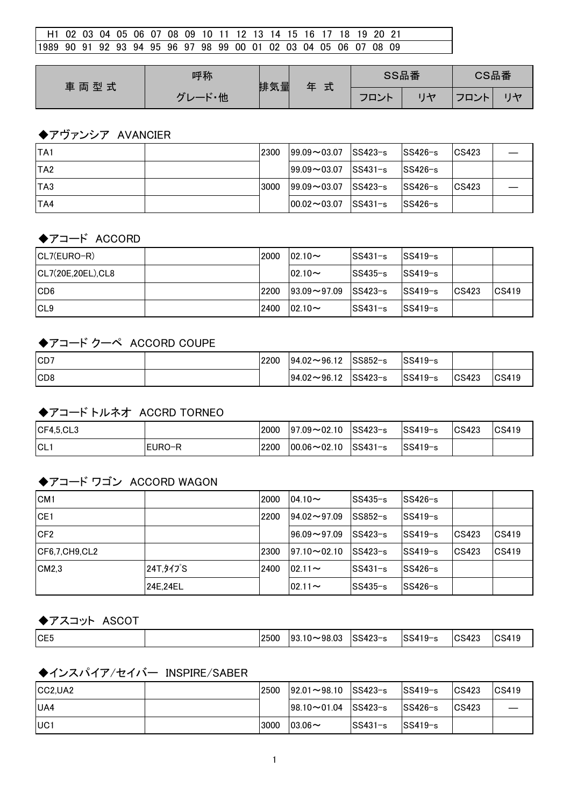| H1 02 03 04 05 06 07 08 09 10 11 12 13 14 15 16 17 18 19 20 21    |  |  |  |  |  |  |  |  |  |  |  |
|-------------------------------------------------------------------|--|--|--|--|--|--|--|--|--|--|--|
| 11989 90 91 92 93 94 95 96 97 98 99 00 01 02 03 04 05 06 07 08 09 |  |  |  |  |  |  |  |  |  |  |  |

| 車両型式 | 呼称                         | 排気量 | ᆠ<br>玍 |      | SS品番 | CS品番                  |         |  |
|------|----------------------------|-----|--------|------|------|-----------------------|---------|--|
|      | . .<br>- 他<br>$\mathbf{r}$ |     | 고      | フロント |      | $T$ $T$ $\rightarrow$ | $H + 7$ |  |

### ◆アヴァンシア AVANCIER

| <b>TA1</b> | 2300 | $199.09 \rightarrow 03.07$ | $ SS423-s $   | $SS426-s$   | CS423 |  |
|------------|------|----------------------------|---------------|-------------|-------|--|
| ITA2       |      | $199.09 \rightarrow 03.07$ | $ SS431 - s $ | $SS426-s$   |       |  |
| ITA3       | 3000 | $199.09 \rightarrow 03.07$ | SS423−s       | $ SS426-s $ | CS423 |  |
| TA4        |      | $ 00.02 \rightarrow 03.07$ | $ SS431-s $   | $SS426-s$   |       |  |

#### ◆アコード ACCORD

| $ CL7(EURO-R) $    | 2000 | $02.10 -$                  | $ SS431 - s $               | $SS419-s$   |       |                 |
|--------------------|------|----------------------------|-----------------------------|-------------|-------|-----------------|
| CL7(20E,20EL), CL8 |      | $ 02.10 -$                 | $SS435-s$                   | $ SS419-s $ |       |                 |
| ICD <sub>6</sub>   | 2200 | $193.09 \rightarrow 97.09$ | $\textsf{SS}423\textsf{-s}$ | $ SS419-s $ | CS423 | $ CS419\rangle$ |
| ICL <sub>9</sub>   | 2400 | $02.10 -$                  | lSS431−s                    | $SS419-s$   |       |                 |

#### ◆アコード クーペ ACCORD COUPE

| ICD <sub>7</sub> | 2200 | $94.02 \rightarrow 96.12$ | SS852−s  | lSS419−s                   |               |       |
|------------------|------|---------------------------|----------|----------------------------|---------------|-------|
| ICD <sub>8</sub> |      | $94.02 \rightarrow 96.12$ | lSS423−s | $\mathsf{ISS419}\text{-s}$ | $\big $ CS423 | CS419 |

#### ◆アコード トルネオ ACCRD TORNEO

| ICF4.5.CL3 |         | 2000 | $ 97.09 \sim 02.10$ | SS423−s | $ SS419-s $ | CS423 | CS419 |
|------------|---------|------|---------------------|---------|-------------|-------|-------|
| ICL.       | IEURO−R | 2200 | $ 00.06 \sim 02.10$ | SS431−s | $ SS419-s $ |       |       |

#### ◆アコード ワゴン ACCORD WAGON

| CM <sub>1</sub> |             | 2000 | $104.10\sim$               | $SS435-s$ | SS426-s |       |                 |
|-----------------|-------------|------|----------------------------|-----------|---------|-------|-----------------|
| ICE1            |             | 2200 | $194.02 \rightarrow 97.09$ | $SS852-s$ | SS419-s |       |                 |
| CF <sub>2</sub> |             |      | $196.09 - 97.09$           | SS423-s   | SS419-s | CS423 | CS419           |
| ICF6.7.CH9.CL2  |             | 2300 | $ 97.10 \sim 02.10$        | SS423-s   | SS419-s | CS423 | $ CS419\rangle$ |
| CM2.3           | 24T, 91 J S | 2400 | $ 02.11 -$                 | lSS431−s  | SS426-s |       |                 |
|                 | 24E.24EL    |      | $02.11 -$                  | lSS435−s  | SS426-s |       |                 |

#### ◆アスコット ASCOT

|  | CE <sub>5</sub> | 2500 | $ 93.10 \sim 98.03$ | SS423-s | $SS419-s$ | CS423<br>ಾ | CS419 |
|--|-----------------|------|---------------------|---------|-----------|------------|-------|
|--|-----------------|------|---------------------|---------|-----------|------------|-------|

## ◆インスパイア/セイバー INSPIRE/SABER

| ICC2.UA2         | 2500 | $ 92.01 \sim 98.10$ SS423-s     |             | $ SS419-s $ | $\textcolor{red}{\mathsf{ICS}423}$ | CS419 |
|------------------|------|---------------------------------|-------------|-------------|------------------------------------|-------|
| IUA4             |      | $ 98.10 \sim 01.04$ $ SS423-s $ |             | $ SS426-s $ | CS423                              |       |
| IUC <sub>1</sub> | 3000 | $103.06 \sim$                   | $ SS431-s $ | $ SS419-s $ |                                    |       |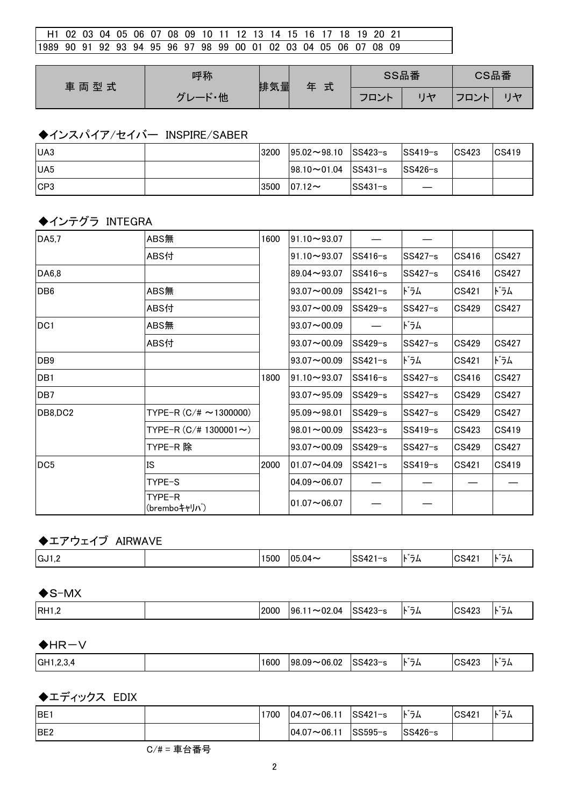| l H1 02 03 04 05 06 07 08 09 10 11 12 13 14 15 16 17 18 19 20 21 |  |  |  |  |  |  |  |  |  |  |  |
|------------------------------------------------------------------|--|--|--|--|--|--|--|--|--|--|--|
| 1989 90 91 92 93 94 95 96 97 98 99 00 01 02 03 04 05 06 07 08 09 |  |  |  |  |  |  |  |  |  |  |  |

| 車両型式 | 呼称                 | 排気量 | 式<br>玍 |      | SS品番 | CS品番                            |   |  |
|------|--------------------|-----|--------|------|------|---------------------------------|---|--|
|      | $\mathbf{r}$<br>・他 |     |        | フロント |      | フロン<br>$\overline{\phantom{a}}$ | H |  |

### ◆インスパイア/セイバー INSPIRE/SABER

| <b>IUA3</b>      | 3200 | $ 95.02 \rightarrow 98.10$ SS423-s |             | $ SS419-s $ | CS423 | CS419 |
|------------------|------|------------------------------------|-------------|-------------|-------|-------|
| <b>IUA5</b>      |      | $ 98.10 \sim 01.04$ SS431-s        |             | $ SS426-s $ |       |       |
| ICP <sub>3</sub> | 3500 | $ 07.12 -$                         | $ SS431-s $ |             |       |       |

### ◆インテグラ INTEGRA

| DA5,7           | ABS無                         | 1600 | $91.10 \rightarrow 93.07$ |           |           |              |       |
|-----------------|------------------------------|------|---------------------------|-----------|-----------|--------------|-------|
|                 | ABS付                         |      | $91.10 \rightarrow 93.07$ | $SS416-s$ | $SS427-s$ | CS416        | CS427 |
| DA6,8           |                              |      | $89.04 - 93.07$           | $SS416-s$ | $SS427-s$ | CS416        | CS427 |
| DB <sub>6</sub> | ABS無                         |      | $93.07 - 00.09$           | $SS421-s$ | ドラム       | CS421        | ドラム   |
|                 | ABS付                         |      | $93.07 \sim 00.09$        | $SS429-s$ | $SS427-s$ | CS429        | CS427 |
| DC1             | ABS無                         |      | $93.07 - 00.09$           |           | ドラム       |              |       |
|                 | ABS付                         |      | $93.07 - 00.09$           | $SS429-s$ | $SS427-s$ | CS429        | CS427 |
| DB <sub>9</sub> |                              |      | $93.07 - 00.09$           | $SS421-s$ | ドラム       | CS421        | ドラム   |
| DB <sub>1</sub> |                              | 1800 | $91.10 \rightarrow 93.07$ | $SS416-s$ | $SS427-s$ | CS416        | CS427 |
| DB <sub>7</sub> |                              |      | $93.07 \sim 95.09$        | $SS429-s$ | $SS427-s$ | CS429        | CS427 |
| DB8,DC2         | TYPE-R $(C/\# \sim 1300000)$ |      | $95.09 - 98.01$           | $SS429-s$ | $SS427-s$ | <b>CS429</b> | CS427 |
|                 | TYPE-R $(C/\# 1300001 \sim)$ |      | $98.01 - 00.09$           | $SS423-s$ | $SS419-s$ | CS423        | CS419 |
|                 | TYPE-R 除                     |      | $93.07 - 00.09$           | $SS429-s$ | $SS427-s$ | CS429        | CS427 |
| DC <sub>5</sub> | <b>IS</b>                    | 2000 | $01.07 - 04.09$           | $SS421-s$ | $SS419-s$ | CS421        | CS419 |
|                 | TYPE-S                       |      | $04.09 - 06.07$           |           |           |              |       |
|                 | TYPE-R<br>(bremboキャリハ)       |      | $01.07 - 06.07$           |           |           |              |       |

## ◆エアウェイブ AIRWAVE

| $\cdot$ $-$<br>$\cdot$ $\cdot$ $-$<br>IGJ1,2<br>$\sim$ $\sim$<br>1500<br>$\sim$<br>フム<br>ున4''<br>, ∪5.04≏<br>84<br>$ \sim$<br>R<br>,, |
|----------------------------------------------------------------------------------------------------------------------------------------|
|----------------------------------------------------------------------------------------------------------------------------------------|

| $\bigstar$ S-MX |      |                             |     |       |      |
|-----------------|------|-----------------------------|-----|-------|------|
| RH1,2           | 2000 | $ 96.11 \sim 02.04$ SS423-s | ドラム | CS423 | ト゛ラム |

#### $H$ HR $-V$

|  | <b>GH1,.</b><br>- 3.4 |  | 1600 | 106.02<br>$98.09 -$ | SS423<br>$\sim$<br>. . | . . –<br>$\overline{\phantom{a}}$<br>r<br>د1 | CS423 | $\cdot$ $\cdot$ $-$<br>7L |
|--|-----------------------|--|------|---------------------|------------------------|----------------------------------------------|-------|---------------------------|
|--|-----------------------|--|------|---------------------|------------------------|----------------------------------------------|-------|---------------------------|

◆エディックス EDIX

| <b>IBE</b>      | 1700 | $ 04.07 \sim 06.11$ | $ SS421 - s $             | ゛゙゙゙゙゙゙゙゙゙゙゙゙゙ヿ゙゙゙゙゙゙゙゙゙゚゚ | CS421 | ドラム |
|-----------------|------|---------------------|---------------------------|----------------------------|-------|-----|
| BE <sub>2</sub> |      | $ 04.07 \sim 06.11$ | $\mathsf{SS595}\text{-s}$ | $SS426-s$                  |       |     |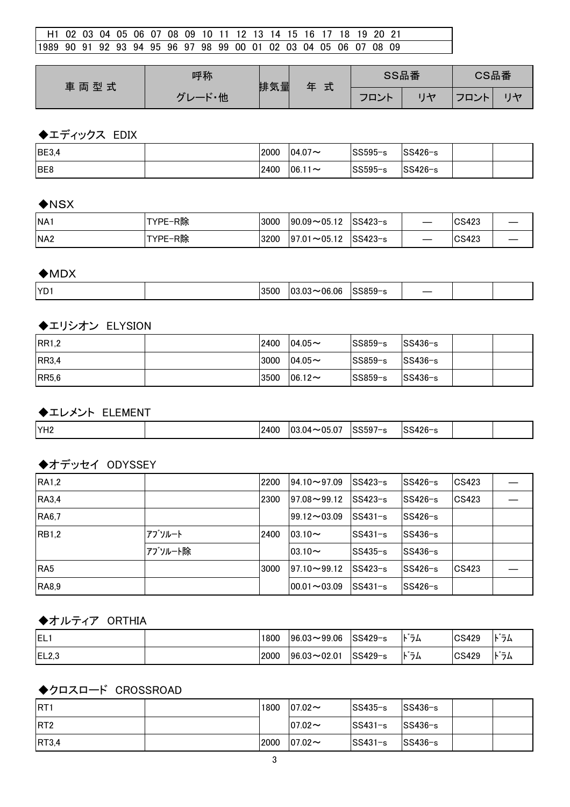| H1 02 03 04 05 06 07 08 09 10 11 12 13 14 15 16 17 18 19 20 21    |  |  |  |  |  |  |  |  |  |  |  |
|-------------------------------------------------------------------|--|--|--|--|--|--|--|--|--|--|--|
| 11989 90 91 92 93 94 95 96 97 98 99 00 01 02 03 04 05 06 07 08 09 |  |  |  |  |  |  |  |  |  |  |  |

| 車両型式 | 呼称                  | 排気量 | 式<br>玍 | SS品番 |         | CS品番      |                          |
|------|---------------------|-----|--------|------|---------|-----------|--------------------------|
|      | - 他<br>$\mathbf{r}$ |     |        | フロント | $1 + 7$ | アロント<br>- | $\overline{\mathcal{L}}$ |

## ◆エディックス EDIX

| <b>BE3,4</b> | 2000 | $ 04.07\sim$ | <sup>∣</sup> SS595−s | 'SS426−s |  |
|--------------|------|--------------|----------------------|----------|--|
| BE8          | 2400 | $ 06.11 -$   | SS595-s              | 'SS426−s |  |

#### $\bigstar$ NSX

| NA <sub>1</sub>  | TYPE-R除 | 3000 | $ 90.09 \sim 05.12$ | $\textsf{ISS423-s}$                   |    | CS423 |  |
|------------------|---------|------|---------------------|---------------------------------------|----|-------|--|
| INA <sub>2</sub> | TYPE-R除 | 3200 | $ 97.01 \sim 05.12$ | $\textcolor{red}{\textsf{ISS423--s}}$ | __ | CS423 |  |

#### $\bigstar$ MDX

| <b>YD</b><br>0.0000<br>3500<br>. ೧೯<br>1h<br>۱.ч<br>.ההר<br>.<br>__<br>הנו נ |
|------------------------------------------------------------------------------|
|------------------------------------------------------------------------------|

## ◆エリシオン ELYSION

| RR1,2        | 2400 | $104.05 \sim$ | lSS859−s | $ SS436-s $ |  |
|--------------|------|---------------|----------|-------------|--|
| <b>RR3.4</b> | 3000 | $104.05 \sim$ | lSS859−s | $ SS436-s $ |  |
| IRR5,6       | 3500 | $106.12 \sim$ | lSS859−s | $ SS436-s $ |  |

◆エレメント ELEMENT

|  | YH <sub>2</sub> |  | 2400 | -ሰ5 ሰ7<br>-03<br>04 | SS597<br>$1 - \alpha$ | $0.006 - c$<br>∼ |  |  |
|--|-----------------|--|------|---------------------|-----------------------|------------------|--|--|
|--|-----------------|--|------|---------------------|-----------------------|------------------|--|--|

#### ◆オデッセイ ODYSSEY

| <b>RA1,2</b> |         | 2200 | $ 94.10 \rightarrow 97.09$ | lSS423−s  | $SS426-s$ | CS423 |  |
|--------------|---------|------|----------------------------|-----------|-----------|-------|--|
| <b>RA3.4</b> |         | 2300 | $ 97.08 \rightarrow 99.12$ | SS423-s   | $SS426-s$ | CS423 |  |
| <b>RA6.7</b> |         |      | $ 99.12 \rightarrow 03.09$ | $SS431-s$ | $SS426-s$ |       |  |
| <b>RB1.2</b> | アブソルート  | 2400 | $103.10\sim$               | $SS431-s$ | $SS436-s$ |       |  |
|              | アブソルート除 |      | $ 03.10\sim$               | $SS435-s$ | $SS436-s$ |       |  |
| IRA5         |         | 3000 | $ 97.10 \rightarrow 99.12$ | $SS423-s$ | lSS426−s  | CS423 |  |
| <b>RA8,9</b> |         |      | $100.01 - 03.09$           | $SS431-s$ | $SS426-s$ |       |  |

#### ◆オルティア ORTHIA

| IEL:  | 1800 | $196.03 - 99.06$    | $SS429-s$            | $\cdot$ $\cdot$ $-$<br>フム<br>R | CS429 | $\cdot$ $\cdot$ $\cdot$<br>74            |
|-------|------|---------------------|----------------------|--------------------------------|-------|------------------------------------------|
| EL2,3 | 2000 | $ 96.03 \sim 02.01$ | <sup>∣</sup> SS429−s | .<br>フム<br>`                   | CS429 | . * –<br>$\overline{\phantom{a}}$<br>ىرر |

# ◆クロスロード CROSSROAD

| <b>RT1</b>       | 1800 | $ 07.02 -$ | SS435−s     | $ SS436-s $                 |  |
|------------------|------|------------|-------------|-----------------------------|--|
| IRT <sub>2</sub> |      | $ 07.02 -$ | $ SS431-s $ | $\textsf{SS}436\textsf{-s}$ |  |
| RT3,4            | 2000 | $ 07.02 -$ | $ SS431-s $ | $ SS436-s $                 |  |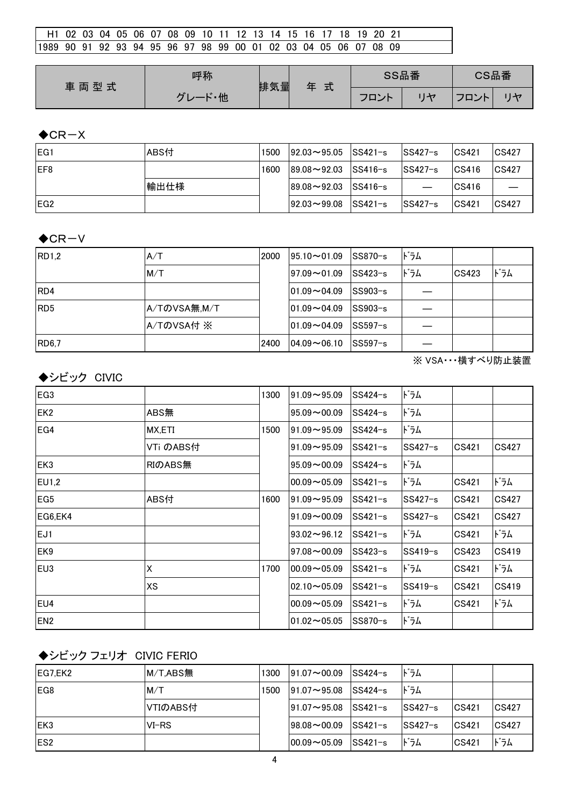| l H1 02 03 04 05 06 07 08 09 10 11 12 13 14 15 16 17 18 19 20 21  |  |  |  |  |  |  |  |  |  |  |  |
|-------------------------------------------------------------------|--|--|--|--|--|--|--|--|--|--|--|
| 11989 90 91 92 93 94 95 96 97 98 99 00 01 02 03 04 05 06 07 08 09 |  |  |  |  |  |  |  |  |  |  |  |

| 車両型式 | 呼称                 | 排気量 | 式<br>玍 |      | SS品番 | CS品番        |                |
|------|--------------------|-----|--------|------|------|-------------|----------------|
|      | $\mathbf{r}$<br>・他 |     |        | フロント | H    | $\Box$<br>– | $\overline{1}$ |

### $\bigstar$ CR-X

| EG <sub>1</sub>  | ABS付 | 1500 | $192.03 \rightarrow 95.05$ | $ SS421-s $ | $SS427-s$ | CS421 | CS427        |
|------------------|------|------|----------------------------|-------------|-----------|-------|--------------|
| IEF8             |      | 1600 | $189.08 - 92.03$           | $ SS416-s $ | $SS427-s$ | CS416 | CS427        |
|                  | 輸出仕様 |      | $189.08 - 92.03$           | $ SS416-s $ |           | CS416 |              |
| IEG <sub>2</sub> |      |      | $192.03 \rightarrow 99.08$ | $SS421-s$   | $SS427-s$ | CS421 | <b>CS427</b> |

#### $\bigstar$ CR-V

| RD1,2           | A/T          | 2000 | $95.10 - 01.09$  | $ SS870-s $ | ドラム |       |     |
|-----------------|--------------|------|------------------|-------------|-----|-------|-----|
|                 | M/T          |      | $97.09 - 01.09$  | $SS423-s$   | ドラム | CS423 | ドラム |
| RD4             |              |      | $101.09 - 04.09$ | $SS903-s$   |     |       |     |
| RD <sub>5</sub> | A/TのVSA無,M/T |      | $101.09 - 04.09$ | lSS903−s    |     |       |     |
|                 | A/TのVSA付 ※   |      | $101.09 - 04.09$ | $SS597-s$   |     |       |     |
| <b>RD6,7</b>    |              | 2400 | $04.09 - 06.10$  | $ SS597-s $ |     |       |     |

※ VSA・・・横すべり防止装置

### ◆シビック CIVIC

| EG <sub>3</sub> |           | 1300 | $91.09 - 95.09$    | $SS424-s$ | ドラム       |       |       |
|-----------------|-----------|------|--------------------|-----------|-----------|-------|-------|
| EK <sub>2</sub> | ABS無      |      | $95.09 - 00.09$    | $SS424-s$ | ドラム       |       |       |
| EG4             | MX,ETI    | 1500 | $91.09 - 95.09$    | $SS424-s$ | ドラム       |       |       |
|                 | VTi のABS付 |      | $91.09 - 95.09$    | $SS421-s$ | $SS427-s$ | CS421 | CS427 |
| EK <sub>3</sub> | RIのABS無   |      | $95.09 - 00.09$    | $SS424-s$ | ドラム       |       |       |
| EU1,2           |           |      | $00.09 - 05.09$    | $SS421-s$ | ドラム       | CS421 | ドラム   |
| EG <sub>5</sub> | ABS付      | 1600 | $91.09 - 95.09$    | $SS421-s$ | $SS427-s$ | CS421 | CS427 |
| EG6,EK4         |           |      | $91.09 - 00.09$    | $SS421-s$ | $SS427-s$ | CS421 | CS427 |
| EJ1             |           |      | $93.02 - 96.12$    | $SS421-s$ | ドラム       | CS421 | ドラム   |
| IEK9            |           |      | $97.08 \sim 00.09$ | $SS423-s$ | $SS419-s$ | CS423 | CS419 |
| EU <sub>3</sub> | Χ         | 1700 | $00.09 - 05.09$    | $SS421-s$ | ドラム       | CS421 | ドラム   |
|                 | XS        |      | $02.10 - 05.09$    | $SS421-s$ | $SS419-s$ | CS421 | CS419 |
| EU4             |           |      | $00.09 - 05.09$    | $SS421-s$ | ドラム       | CS421 | ドラム   |
| EN <sub>2</sub> |           |      | $01.02 - 05.05$    | SS870-s   | ドラム       |       |       |

# ◆シビック フェリオ CIVIC FERIO

| EG7,EK2          | $M/T$ , ABS $#$ | 1300 | $ 91.07 \rightarrow 00.09$ | $ SS424-s $ | ドラム       |       |              |
|------------------|-----------------|------|----------------------------|-------------|-----------|-------|--------------|
| IEG8             | M/T             | 1500 | $ 91.07 \rightarrow 95.08$ | $ SS424-s $ | ドラム       |       |              |
|                  | VTIのABS付        |      | $ 91.07 \rightarrow 95.08$ | $SS421-s$   | $SS427-s$ | CS421 | <b>CS427</b> |
| IEK3             | $VI-RS$         |      | $198.08 - 00.09$           | $SS421-s$   | $SS427-s$ | CS421 | CS427        |
| IES <sub>2</sub> |                 |      | $ 00.09\sim05.09 $         | $ SS421-s $ | ドラム       | CS421 | ドラム          |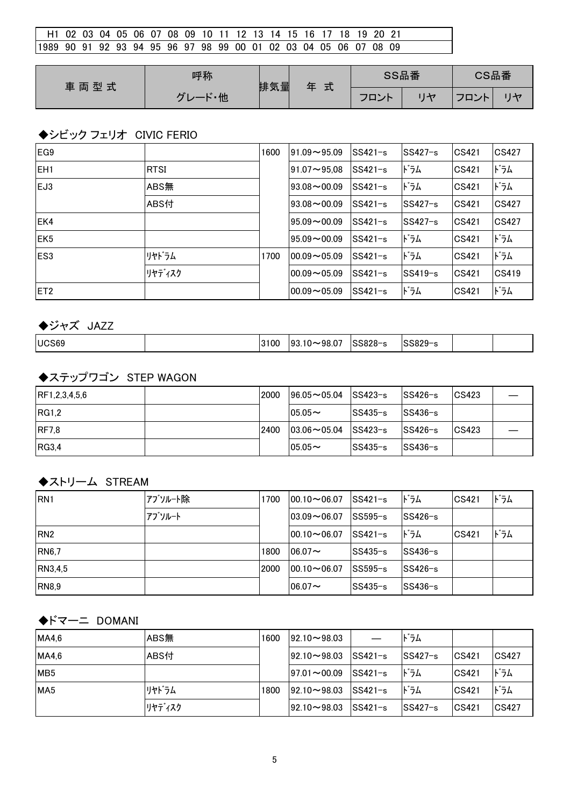| H1 02 03 04 05 06 07 08 09 10 11 12 13 14 15 16 17 18 19 20 21    |  |  |  |  |  |  |  |  |  |  |
|-------------------------------------------------------------------|--|--|--|--|--|--|--|--|--|--|
| 11989 90 91 92 93 94 95 96 97 98 99 00 01 02 03 04 05 06 07 08 09 |  |  |  |  |  |  |  |  |  |  |

| 車両型式 | 呼称                  | 排気量 | 式<br>玍 | SS品番 |         | CS品番                                          |              |  |
|------|---------------------|-----|--------|------|---------|-----------------------------------------------|--------------|--|
|      | - 他<br>$\mathbf{r}$ |     |        | フロント | $1 + 7$ | $\neg \neg$<br>ハト<br>$\overline{\phantom{a}}$ | $\mathsf{H}$ |  |

# ◆シビック フェリオ CIVIC FERIO

| EG <sub>9</sub> |             | 1600 | $91.09 - 95.09$  | $SS421-s$ | $SS427-s$ | CS421 | <b>CS427</b> |
|-----------------|-------------|------|------------------|-----------|-----------|-------|--------------|
| EH <sub>1</sub> | <b>RTSI</b> |      | $91.07 - 95.08$  | $SS421-s$ | ドラム       | CS421 | ドラム          |
| EJ3             | ABS無        |      | $93.08 - 00.09$  | $SS421-s$ | ドラム       | CS421 | ドラム          |
|                 | ABS付        |      | $93.08 - 00.09$  | $SS421-s$ | SS427-s   | CS421 | CS427        |
| EK4             |             |      | $95.09 - 00.09$  | $SS421-s$ | $SS427-s$ | CS421 | CS427        |
| EK <sub>5</sub> |             |      | $95.09 - 00.09$  | $SS421-s$ | ドラム       | CS421 | ドラム          |
| ES <sub>3</sub> | リヤドラム       | 1700 | $00.09 - 05.09$  | $SS421-s$ | ドラム       | CS421 | ドラム          |
|                 | リヤディスク      |      | $100.09 - 05.09$ | $SS421-s$ | $SS419-s$ | CS421 | CS419        |
| IET2            |             |      | $100.09 - 05.09$ | $SS421-s$ | ドラム       | CS421 | ドラム          |

◆ジャズ JAZZ

| UCS69 | 3100 | $\sim$ $-$<br>∩c<br>$\overline{\phantom{a}}$<br>93<br>υ<br>งง.บ | ,,,,,<br>∙ ∕ הר | $\sim$ $\sim$ $\sim$<br>. . |  |  |
|-------|------|-----------------------------------------------------------------|-----------------|-----------------------------|--|--|
|-------|------|-----------------------------------------------------------------|-----------------|-----------------------------|--|--|

## ◆ステップワゴン STEP WAGON

| RF1,2,3,4,5,6 | 2000 | $196.05 \rightarrow 05.04$ | $ SS423-s $ | $ SS426-s $ | CS423 |  |
|---------------|------|----------------------------|-------------|-------------|-------|--|
| IRG1.2        |      | $05.05 -$                  | lSS435−s    | $ SS436-s $ |       |  |
| <b>IRF7.8</b> | 2400 | $ 03.06 \sim 05.04$        | $SS423-s$   | $ SS426-s $ | CS423 |  |
| <b>IRG3.4</b> |      | $05.05 -$                  | lSS435−s    | $SS436-s$   |       |  |

### ◆ストリーム STREAM

| IRN <sub>1</sub> | アブソルート除 | 1700 | $100.10 - 06.07$ | $ SS421-s $ | ドラム       | CS421 | ドラム |
|------------------|---------|------|------------------|-------------|-----------|-------|-----|
|                  | アブソルート  |      | $103.09 - 06.07$ | lSS595−s    | $SS426-s$ |       |     |
| RN <sub>2</sub>  |         |      | $100.10 - 06.07$ | $ SS421-s $ | ドラム       | CS421 | ドラム |
| <b>RN6.7</b>     |         | 1800 | $06.07 \sim$     | SS435-s     | $SS436-s$ |       |     |
| RN3,4,5          |         | 2000 | $100.10 - 06.07$ | lSS595−s    | ISS426−s  |       |     |
| <b>RN8.9</b>     |         |      | $06.07 -$        | lSS435−s    | $SS436-s$ |       |     |

## ◆ドマーニ DOMANI

| MA4,6           | ABS無   | 1600 | $192.10 - 98.03$           |             | ドラム      |              |              |
|-----------------|--------|------|----------------------------|-------------|----------|--------------|--------------|
| MA4.6           | ABS付   |      | $ 92.10 \sim 98.03$        | $SS421-s$   | lSS427−s | CS421        | <b>CS427</b> |
| MB <sub>5</sub> |        |      | $197.01 \rightarrow 00.09$ | $ SS421-s $ | ドラム      | CS421        | ドラム          |
| MA <sub>5</sub> | リヤドラム  | 1800 | $ 92.10 \rightarrow 98.03$ | $ SS421-s $ | ドラム      | CS421        | ドラム          |
|                 | リヤディスク |      | $92.10 - 98.03$            | $ SS421-s $ | lSS427−s | <b>CS421</b> | <b>CS427</b> |